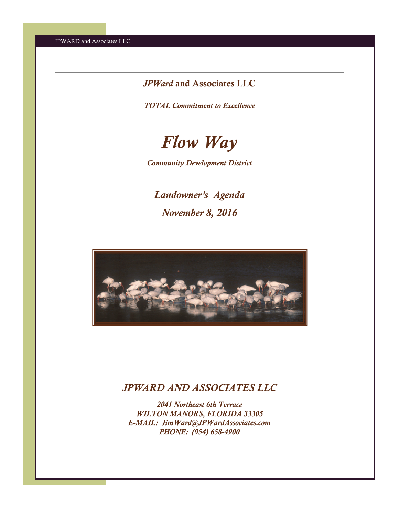## *JPWard* and Associates LLC

*TOTAL Commitment to Excellence* 



*Community Development District* 

*Landowner's Agenda November 8, 2016* 



# *JPWARD AND ASSOCIATES LLC*

*2041 Northeast 6th Terrace WILTON MANORS, FLORIDA 33305 E-MAIL: JimWard@JPWardAssociates.com PHONE: (954) 658-4900*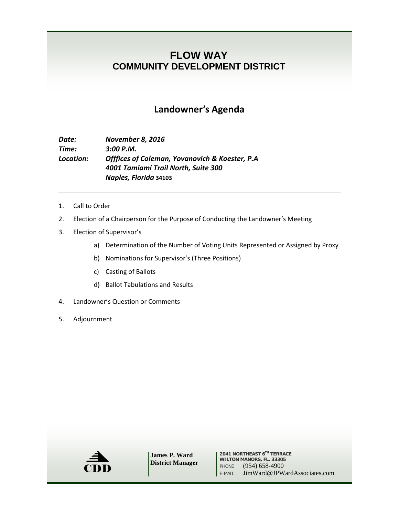# **FLOW WAY COMMUNITY DEVELOPMENT DISTRICT**

## **Landowner's Agenda**

### *Date: November 8, 2016 Time: 3:00 P.M. Location: Offfices of Coleman, Yovanovich & Koester, P.A 4001 Tamiami Trail North, Suite 300 Naples, Florida* **34103**

- 1. Call to Order
- 2. Election of a Chairperson for the Purpose of Conducting the Landowner's Meeting
- 3. Election of Supervisor's
	- a) Determination of the Number of Voting Units Represented or Assigned by Proxy
	- b) Nominations for Supervisor's (Three Positions)
	- c) Casting of Ballots
	- d) Ballot Tabulations and Results
- 4. Landowner's Question or Comments
- 5. Adjournment



**James P. Ward District Manager**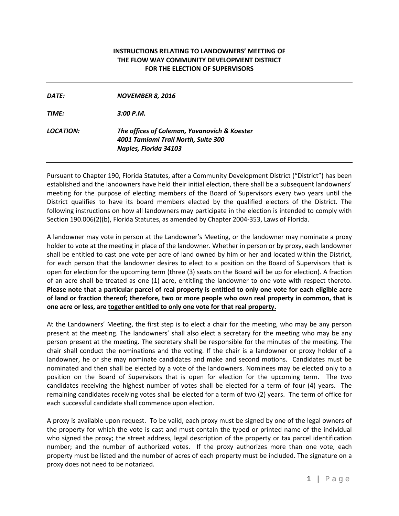#### **INSTRUCTIONS RELATING TO LANDOWNERS' MEETING OF THE FLOW WAY COMMUNITY DEVELOPMENT DISTRICT FOR THE ELECTION OF SUPERVISORS**

| DATE:            | <b>NOVEMBER 8, 2016</b>                                                                                      |
|------------------|--------------------------------------------------------------------------------------------------------------|
| <b>TIME:</b>     | 3:00 P.M.                                                                                                    |
| <i>LOCATION:</i> | The offices of Coleman, Yovanovich & Koester<br>4001 Tamiami Trail North, Suite 300<br>Naples, Florida 34103 |
|                  |                                                                                                              |

Pursuant to Chapter 190, Florida Statutes, after a Community Development District ("District") has been established and the landowners have held their initial election, there shall be a subsequent landowners' meeting for the purpose of electing members of the Board of Supervisors every two years until the District qualifies to have its board members elected by the qualified electors of the District. The following instructions on how all landowners may participate in the election is intended to comply with Section 190.006(2)(b), Florida Statutes, as amended by Chapter 2004-353, Laws of Florida.

A landowner may vote in person at the Landowner's Meeting, or the landowner may nominate a proxy holder to vote at the meeting in place of the landowner. Whether in person or by proxy, each landowner shall be entitled to cast one vote per acre of land owned by him or her and located within the District, for each person that the landowner desires to elect to a position on the Board of Supervisors that is open for election for the upcoming term (three (3) seats on the Board will be up for election). A fraction of an acre shall be treated as one (1) acre, entitling the landowner to one vote with respect thereto. **Please note that a particular parcel of real property is entitled to only one vote for each eligible acre of land or fraction thereof; therefore, two or more people who own real property in common, that is one acre or less, are together entitled to only one vote for that real property.**

At the Landowners' Meeting, the first step is to elect a chair for the meeting, who may be any person present at the meeting. The landowners' shall also elect a secretary for the meeting who may be any person present at the meeting. The secretary shall be responsible for the minutes of the meeting. The chair shall conduct the nominations and the voting. If the chair is a landowner or proxy holder of a landowner, he or she may nominate candidates and make and second motions. Candidates must be nominated and then shall be elected by a vote of the landowners. Nominees may be elected only to a position on the Board of Supervisors that is open for election for the upcoming term. The two candidates receiving the highest number of votes shall be elected for a term of four (4) years. The remaining candidates receiving votes shall be elected for a term of two (2) years. The term of office for each successful candidate shall commence upon election.

A proxy is available upon request. To be valid, each proxy must be signed by one of the legal owners of the property for which the vote is cast and must contain the typed or printed name of the individual who signed the proxy; the street address, legal description of the property or tax parcel identification number; and the number of authorized votes. If the proxy authorizes more than one vote, each property must be listed and the number of acres of each property must be included. The signature on a proxy does not need to be notarized.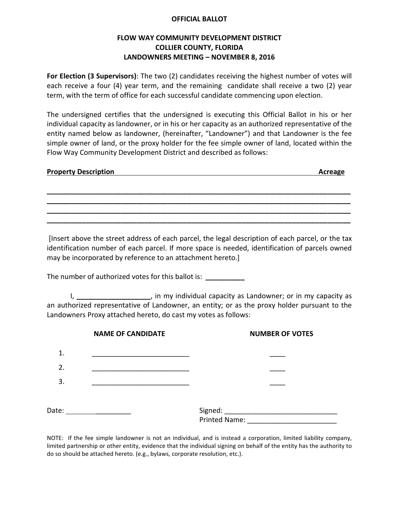#### **OFFICIAL BALLOT**

### **FLOW WAY COMMUNITY DEVELOPMENT DISTRICT COLLIER COUNTY, FLORIDA LANDOWNERS MEETING – NOVEMBER 8, 2016**

**For Election (3 Supervisors)**: The two (2) candidates receiving the highest number of votes will each receive a four (4) year term, and the remaining candidate shall receive a two (2) year term, with the term of office for each successful candidate commencing upon election.

The undersigned certifies that the undersigned is executing this Official Ballot in his or her individual capacity as landowner, or in his or her capacity as an authorized representative of the entity named below as landowner, (hereinafter, "Landowner") and that Landowner is the fee simple owner of land, or the proxy holder for the fee simple owner of land, located within the Flow Way Community Development District and described as follows:

| <b>Property Description</b> | Acreage |
|-----------------------------|---------|
|                             |         |
|                             |         |

**\_\_\_\_\_\_\_\_\_\_\_\_\_\_\_\_\_\_\_\_\_\_\_\_\_\_\_\_\_\_\_\_\_\_\_\_\_\_\_\_\_\_\_\_\_\_\_\_\_\_\_\_\_\_\_\_\_\_\_\_\_\_\_\_\_\_\_\_\_\_\_\_\_\_\_\_\_\_ \_\_\_\_\_\_\_\_\_\_\_\_\_\_\_\_\_\_\_\_\_\_\_\_\_\_\_\_\_\_\_\_\_\_\_\_\_\_\_\_\_\_\_\_\_\_\_\_\_\_\_\_\_\_\_\_\_\_\_\_\_\_\_\_\_\_\_\_\_\_\_\_\_\_\_\_\_\_ \_\_\_\_\_\_\_\_\_\_\_\_\_\_\_\_\_\_\_\_\_\_\_\_\_\_\_\_\_\_\_\_\_\_\_\_\_\_\_\_\_\_\_\_\_\_\_\_\_\_\_\_\_\_\_\_\_\_\_\_\_\_\_\_\_\_\_\_\_\_\_\_\_\_\_\_\_\_**

[Insert above the street address of each parcel, the legal description of each parcel, or the tax identification number of each parcel. If more space is needed, identification of parcels owned may be incorporated by reference to an attachment hereto.]

The number of authorized votes for this ballot is: **\_\_\_\_\_\_\_\_\_\_**

I, **\_\_\_\_\_\_\_\_\_\_\_\_\_\_\_\_\_\_\_**, in my individual capacity as Landowner; or in my capacity as an authorized representative of Landowner, an entity; or as the proxy holder pursuant to the Landowners Proxy attached hereto, do cast my votes as follows:

|       | <b>NAME OF CANDIDATE</b> | <b>NUMBER OF VOTES</b> |
|-------|--------------------------|------------------------|
| 1.    |                          |                        |
| 2.    |                          |                        |
| 3.    |                          |                        |
|       |                          |                        |
| Date: |                          | Signed: ____________   |
|       |                          | Printed Name:          |

NOTE: If the fee simple landowner is not an individual, and is instead a corporation, limited liability company, limited partnership or other entity, evidence that the individual signing on behalf of the entity has the authority to do so should be attached hereto. (e.g., bylaws, corporate resolution, etc.).